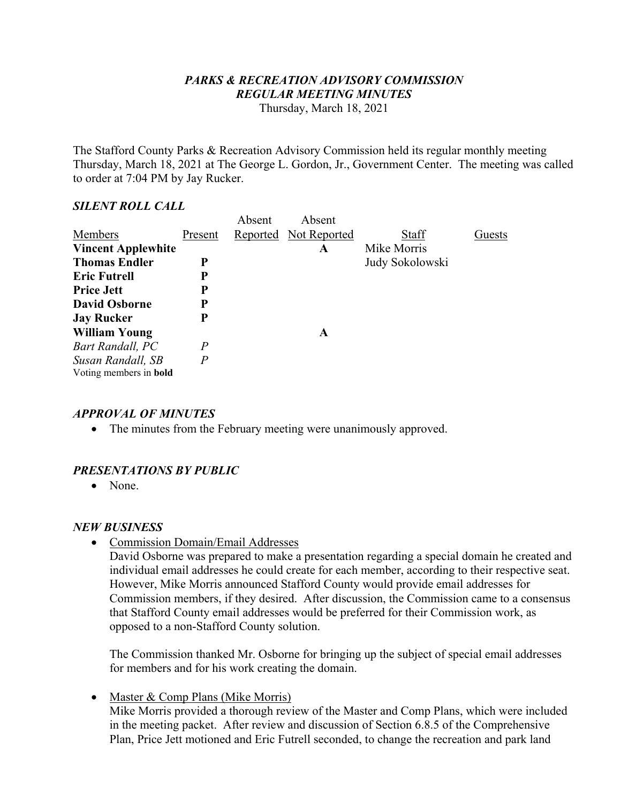# *PARKS & RECREATION ADVISORY COMMISSION REGULAR MEETING MINUTES*

Thursday, March 18, 2021

The Stafford County Parks & Recreation Advisory Commission held its regular monthly meeting Thursday, March 18, 2021 at The George L. Gordon, Jr., Government Center. The meeting was called to order at 7:04 PM by Jay Rucker.

#### *SILENT ROLL CALL*

|                               |                | Absent | Absent                |                 |        |
|-------------------------------|----------------|--------|-----------------------|-----------------|--------|
| Members                       | Present        |        | Reported Not Reported | Staff           | Guests |
| <b>Vincent Applewhite</b>     |                |        | A                     | Mike Morris     |        |
| <b>Thomas Endler</b>          | P              |        |                       | Judy Sokolowski |        |
| <b>Eric Futrell</b>           | P              |        |                       |                 |        |
| <b>Price Jett</b>             | P              |        |                       |                 |        |
| <b>David Osborne</b>          | P              |        |                       |                 |        |
| <b>Jay Rucker</b>             | P              |        |                       |                 |        |
| <b>William Young</b>          |                |        | A                     |                 |        |
| Bart Randall, PC              | $\overline{P}$ |        |                       |                 |        |
| Susan Randall, SB             | $\overline{P}$ |        |                       |                 |        |
| Voting members in <b>bold</b> |                |        |                       |                 |        |

## *APPROVAL OF MINUTES*

• The minutes from the February meeting were unanimously approved.

# *PRESENTATIONS BY PUBLIC*

• None.

## *NEW BUSINESS*

Commission Domain/Email Addresses

 David Osborne was prepared to make a presentation regarding a special domain he created and individual email addresses he could create for each member, according to their respective seat. However, Mike Morris announced Stafford County would provide email addresses for Commission members, if they desired. After discussion, the Commission came to a consensus that Stafford County email addresses would be preferred for their Commission work, as opposed to a non-Stafford County solution.

 The Commission thanked Mr. Osborne for bringing up the subject of special email addresses for members and for his work creating the domain.

• Master & Comp Plans (Mike Morris) Mike Morris provided a thorough review of the Master and Comp Plans, which were included in the meeting packet. After review and discussion of Section 6.8.5 of the Comprehensive Plan, Price Jett motioned and Eric Futrell seconded, to change the recreation and park land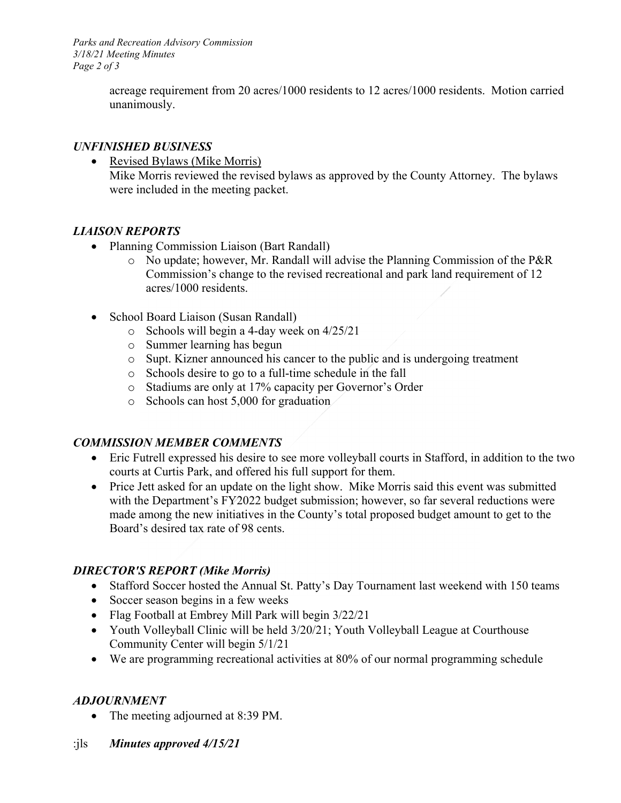*Parks and Recreation Advisory Commission 3/18/21 Meeting Minutes Page 2 of 3* 

> acreage requirement from 20 acres/1000 residents to 12 acres/1000 residents. Motion carried unanimously.

## *UNFINISHED BUSINESS*

• Revised Bylaws (Mike Morris) Mike Morris reviewed the revised bylaws as approved by the County Attorney. The bylaws were included in the meeting packet.

# *LIAISON REPORTS*

- Planning Commission Liaison (Bart Randall)
	- o No update; however, Mr. Randall will advise the Planning Commission of the P&R Commission's change to the revised recreational and park land requirement of 12 acres/1000 residents.
- School Board Liaison (Susan Randall)
	- o Schools will begin a 4-day week on 4/25/21
	- o Summer learning has begun
	- o Supt. Kizner announced his cancer to the public and is undergoing treatment
	- o Schools desire to go to a full-time schedule in the fall
	- o Stadiums are only at 17% capacity per Governor's Order
	- o Schools can host 5,000 for graduation

# *COMMISSION MEMBER COMMENTS*

- Eric Futrell expressed his desire to see more volleyball courts in Stafford, in addition to the two courts at Curtis Park, and offered his full support for them.
- Price Jett asked for an update on the light show. Mike Morris said this event was submitted with the Department's FY2022 budget submission; however, so far several reductions were made among the new initiatives in the County's total proposed budget amount to get to the Board's desired tax rate of 98 cents.

# *DIRECTOR'S REPORT (Mike Morris)*

- Stafford Soccer hosted the Annual St. Patty's Day Tournament last weekend with 150 teams
- Soccer season begins in a few weeks
- Flag Football at Embrey Mill Park will begin  $3/22/21$
- Youth Volleyball Clinic will be held 3/20/21; Youth Volleyball League at Courthouse Community Center will begin 5/1/21
- We are programming recreational activities at 80% of our normal programming schedule

# *ADJOURNMENT*

- The meeting adjourned at 8:39 PM.
- :jls *Minutes approved 4/15/21*